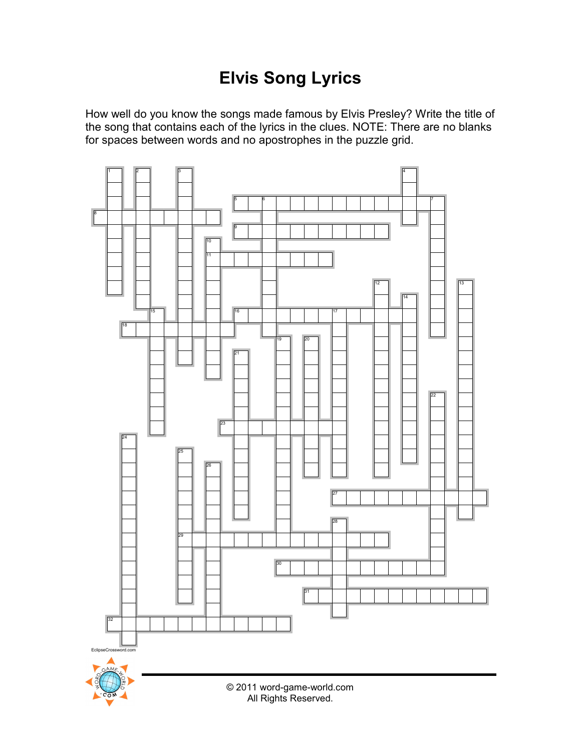## **Elvis Song Lyrics**

How well do you know the songs made famous by Elvis Presley? Write the title of the song that contains each of the lyrics in the clues. NOTE: There are no blanks for spaces between words and no apostrophes in the puzzle grid.